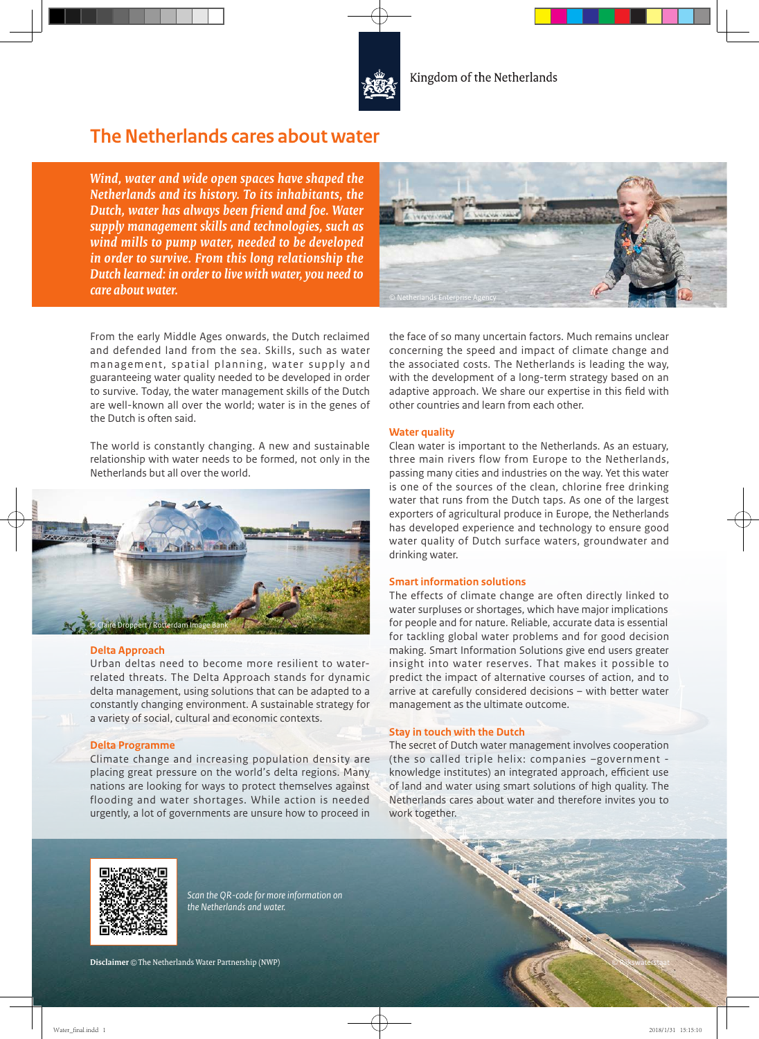

# **The Netherlands cares about water**

*Wind, water and wide open spaces have shaped the Netherlands and its history. To its inhabitants, the Dutch, water has always been friend and foe. Water supply management skills and technologies, such as wind mills to pump water, needed to be developed in order to survive. From this long relationship the Dutch learned: in order to live with water, you need to care about water.*



From the early Middle Ages onwards, the Dutch reclaimed and defended land from the sea. Skills, such as water management, spatial planning, water supply and guaranteeing water quality needed to be developed in order to survive. Today, the water management skills of the Dutch are well-known all over the world; water is in the genes of the Dutch is often said.

The world is constantly changing. A new and sustainable relationship with water needs to be formed, not only in the Netherlands but all over the world.



### **Delta Approach**

Urban deltas need to become more resilient to waterrelated threats. The Delta Approach stands for dynamic delta management, using solutions that can be adapted to a constantly changing environment. A sustainable strategy for a variety of social, cultural and economic contexts.

### **Delta Programme**

Climate change and increasing population density are placing great pressure on the world's delta regions. Many nations are looking for ways to protect themselves against flooding and water shortages. While action is needed urgently, a lot of governments are unsure how to proceed in

the face of so many uncertain factors. Much remains unclear concerning the speed and impact of climate change and the associated costs. The Netherlands is leading the way, with the development of a long-term strategy based on an adaptive approach. We share our expertise in this field with other countries and learn from each other.

### **Water quality**

Clean water is important to the Netherlands. As an estuary, three main rivers flow from Europe to the Netherlands, passing many cities and industries on the way. Yet this water is one of the sources of the clean, chlorine free drinking water that runs from the Dutch taps. As one of the largest exporters of agricultural produce in Europe, the Netherlands has developed experience and technology to ensure good water quality of Dutch surface waters, groundwater and drinking water.

### **Smart information solutions**

The effects of climate change are often directly linked to water surpluses or shortages, which have major implications for people and for nature. Reliable, accurate data is essential for tackling global water problems and for good decision making. Smart Information Solutions give end users greater insight into water reserves. That makes it possible to predict the impact of alternative courses of action, and to arrive at carefully considered decisions – with better water management as the ultimate outcome.

### **Stay in touch with the Dutch**

The secret of Dutch water management involves cooperation (the so called triple helix: companies –government knowledge institutes) an integrated approach, efficient use of land and water using smart solutions of high quality. The Netherlands cares about water and therefore invites you to work together.

© Rijkswaterstaat



*Scan the QR-code for more information on the Netherlands and water.*

**Disclaimer** © The Netherlands Water Partnership (NWP)